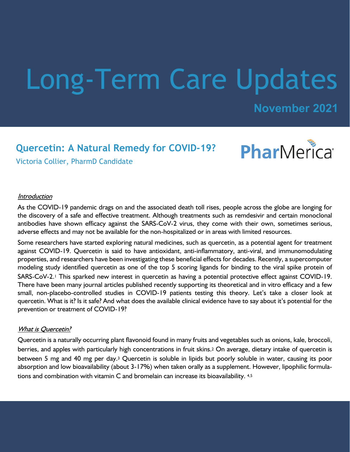# Long-Term Care Updates

**November 2021**

## **Quercetin: A Natural Remedy for COVID-19?**



Victoria Collier, PharmD Candidate

#### **Introduction**

As the COVID-19 pandemic drags on and the associated death toll rises, people across the globe are longing for the discovery of a safe and effective treatment. Although treatments such as remdesivir and certain monoclonal antibodies have shown efficacy against the SARS-CoV-2 virus, they come with their own, sometimes serious, adverse effects and may not be available for the non-hospitalized or in areas with limited resources.

Some researchers have started exploring natural medicines, such as quercetin, as a potential agent for treatment against COVID-19. Quercetin is said to have antioxidant, anti-inflammatory, anti-viral, and immunomodulating properties, and researchers have been investigating these beneficial effects for decades. Recently, a supercomputer modeling study identified quercetin as one of the top 5 scoring ligands for binding to the viral spike protein of SARS-CoV-2.1 This sparked new interest in quercetin as having a potential protective effect against COVID-19. There have been many journal articles published recently supporting its theoretical and in vitro efficacy and a few small, non-placebo-controlled studies in COVID-19 patients testing this theory. Let's take a closer look at quercetin. What is it? Is it safe? And what does the available clinical evidence have to say about it's potential for the prevention or treatment of COVID-19?

#### What is Quercetin?

Quercetin is a naturally occurring plant flavonoid found in many fruits and vegetables such as onions, kale, broccoli, berries, and apples with particularly high concentrations in fruit skins.2 On average, dietary intake of quercetin is between 5 mg and 40 mg per day.3 Quercetin is soluble in lipids but poorly soluble in water, causing its poor absorption and low bioavailability (about 3-17%) when taken orally as a supplement. However, lipophilic formulations and combination with vitamin C and bromelain can increase its bioavailability. 4,5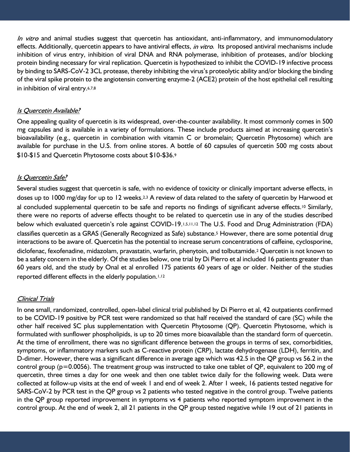In vitro and animal studies suggest that quercetin has antioxidant, anti-inflammatory, and immunomodulatory effects. Additionally, quercetin appears to have antiviral effects, in vitro. Its proposed antiviral mechanisms include inhibition of virus entry, inhibition of viral DNA and RNA polymerase, inhibition of proteases, and/or blocking protein binding necessary for viral replication. Quercetin is hypothesized to inhibit the COVID-19 infective process by binding to SARS-CoV-2 3CL protease, thereby inhibiting the virus's proteolytic ability and/or blocking the binding of the viral spike protein to the angiotensin converting enzyme-2 (ACE2) protein of the host epithelial cell resulting in inhibition of viral entry.6,7,8

### Is Quercetin Available?

One appealing quality of quercetin is its widespread, over-the-counter availability. It most commonly comes in 500 mg capsules and is available in a variety of formulations. These include products aimed at increasing quercetin's bioavailability (e.g., quercetin in combination with vitamin C or bromelain; Quercetin Phytosome) which are available for purchase in the U.S. from online stores. A bottle of 60 capsules of quercetin 500 mg costs about \$10-\$15 and Quercetin Phytosome costs about \$10-\$36.<sup>9</sup>

#### Is Quercetin Safe?

Several studies suggest that quercetin is safe, with no evidence of toxicity or clinically important adverse effects, in doses up to 1000 mg/day for up to 12 weeks.2,3 A review of data related to the safety of quercetin by Harwood et al concluded supplemental quercetin to be safe and reports no findings of significant adverse effects.<sup>10</sup> Similarly, there were no reports of adverse effects thought to be related to quercetin use in any of the studies described below which evaluated quercetin's role against COVID-19.1,5,11,12 The U.S. Food and Drug Administration (FDA) classifies quercetin as a GRAS (Generally Recognized as Safe) substance.5 However, there are some potential drug interactions to be aware of. Quercetin has the potential to increase serum concentrations of caffeine, cyclosporine, diclofenac, fexofenadine, midazolam, pravastatin, warfarin, phenytoin, and tolbutamide.2 Quercetin is not known to be a safety concern in the elderly. Of the studies below, one trial by Di Pierro et al included 16 patients greater than 60 years old, and the study by Onal et al enrolled 175 patients 60 years of age or older. Neither of the studies reported different effects in the elderly population.1,12

#### **Clinical Trials**

In one small, randomized, controlled, open-label clinical trial published by Di Pierro et al, 42 outpatients confirmed to be COVID-19 positive by PCR test were randomized so that half received the standard of care (SC) while the other half received SC plus supplementation with Quercetin Phytosome (QP). Quercetin Phytosome, which is formulated with sunflower phospholipids, is up to 20 times more bioavailable than the standard form of quercetin. At the time of enrollment, there was no significant difference between the groups in terms of sex, comorbidities, symptoms, or inflammatory markers such as C-reactive protein (CRP), lactate dehydrogenase (LDH), ferritin, and D-dimer. However, there was a significant difference in average age which was 42.5 in the QP group vs 56.2 in the control group (p=0.0056). The treatment group was instructed to take one tablet of QP, equivalent to 200 mg of quercetin, three times a day for one week and then one tablet twice daily for the following week. Data were collected at follow-up visits at the end of week 1 and end of week 2. After 1 week, 16 patients tested negative for SARS-CoV-2 by PCR test in the QP group vs 2 patients who tested negative in the control group. Twelve patients in the QP group reported improvement in symptoms vs 4 patients who reported symptom improvement in the control group. At the end of week 2, all 21 patients in the QP group tested negative while 19 out of 21 patients in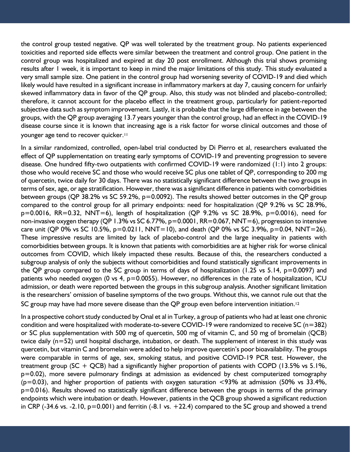the control group tested negative. QP was well tolerated by the treatment group. No patients experienced toxicities and reported side effects were similar between the treatment and control group. One patient in the control group was hospitalized and expired at day 20 post enrollment. Although this trial shows promising results after 1 week, it is important to keep in mind the major limitations of this study. This study evaluated a very small sample size. One patient in the control group had worsening severity of COVID-19 and died which likely would have resulted in a significant increase in inflammatory markers at day 7, causing concern for unfairly skewed inflammatory data in favor of the QP group. Also, this study was not blinded and placebo-controlled; therefore, it cannot account for the placebo effect in the treatment group, particularly for patient-reported subjective data such as symptom improvement. Lastly, it is probable that the large difference in age between the groups, with the QP group averaging 13.7 years younger than the control group, had an effect in the COVID-19 disease course since it is known that increasing age is a risk factor for worse clinical outcomes and those of younger age tend to recover quicker.<sup>11</sup>

In a similar randomized, controlled, open-label trial conducted by Di Pierro et al, researchers evaluated the effect of QP supplementation on treating early symptoms of COVID-19 and preventing progression to severe disease. One hundred fifty-two outpatients with confirmed COVID-19 were randomized (1:1) into 2 groups: those who would receive SC and those who would receive SC plus one tablet of QP, corresponding to 200 mg of quercetin, twice daily for 30 days. There was no statistically significant difference between the two groups in terms of sex, age, or age stratification. However, there was a significant difference in patients with comorbidities between groups (QP 38.2% vs SC 59.2%,  $p=0.0092$ ). The results showed better outcomes in the QP group compared to the control group for all primary endpoints: need for hospitalization (QP 9.2% vs SC 28.9%,  $p=0.0016$ , RR=0.32, NNT=6), length of hospitalization (QP 9.2% vs SC 28.9%,  $p=0.0016$ ), need for non-invasive oxygen therapy (QP 1.3% vs SC 6.77%,  $p=0.0001$ ,  $RR=0.067$ , NNT=6), progression to intensive care unit (QP 0% vs SC 10.5%,  $p=0.0211$ , NNT=10), and death (QP 0% vs SC 3.9%,  $p=0.04$ , NNT=26). These impressive results are limited by lack of placebo-control and the large inequality in patients with comorbidities between groups. It is known that patients with comorbidities are at higher risk for worse clinical outcomes from COVID, which likely impacted these results. Because of this, the researchers conducted a subgroup analysis of only the subjects without comorbidities and found statistically significant improvements in the QP group compared to the SC group in terms of days of hospitalization (1.25 vs 5.14,  $p=0.0097$ ) and patients who needed oxygen (0 vs 4, p=0.0055). However, no differences in the rate of hospitalization, ICU admission, or death were reported between the groups in this subgroup analysis. Another significant limitation is the researchers' omission of baseline symptoms of the two groups. Without this, we cannot rule out that the SC group may have had more severe disease than the QP group even before intervention initiation.<sup>12</sup>

In a prospective cohort study conducted by Onal et al in Turkey, a group of patients who had at least one chronic condition and were hospitalized with moderate-to-severe COVID-19 were randomized to receive SC (n=382) or SC plus supplementation with 500 mg of quercetin, 500 mg of vitamin C, and 50 mg of bromelain (QCB) twice daily (n=52) until hospital discharge, intubation, or death. The supplement of interest in this study was quercetin, but vitamin C and bromelain were added to help improve quercetin's poor bioavailability. The groups were comparable in terms of age, sex, smoking status, and positive COVID-19 PCR test. However, the treatment group ( $SC + QCB$ ) had a significantly higher proportion of patients with COPD (13.5% vs 5.1%, p=0.02), more severe pulmonary findings at admission as evidenced by chest computerized tomography  $(p=0.03)$ , and higher proportion of patients with oxygen saturation  $\langle 93\%$  at admission (50% vs 33.4%, p=0.016). Results showed no statistically significant difference between the groups in terms of the primary endpoints which were intubation or death. However, patients in the QCB group showed a significant reduction in CRP (-34.6 vs. -2.10,  $p=0.001$ ) and ferritin (-8.1 vs.  $+22.4$ ) compared to the SC group and showed a trend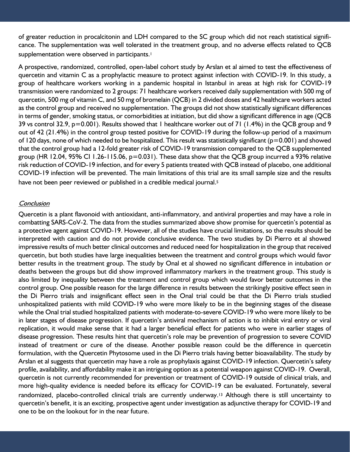of greater reduction in procalcitonin and LDH compared to the SC group which did not reach statistical significance. The supplementation was well tolerated in the treatment group, and no adverse effects related to QCB supplementation were observed in participants.<sup>1</sup>

A prospective, randomized, controlled, open-label cohort study by Arslan et al aimed to test the effectiveness of quercetin and vitamin C as a prophylactic measure to protect against infection with COVID-19. In this study, a group of healthcare workers working in a pandemic hospital in Istanbul in areas at high risk for COVID-19 transmission were randomized to 2 groups: 71 healthcare workers received daily supplementation with 500 mg of quercetin, 500 mg of vitamin C, and 50 mg of bromelain (QCB) in 2 divided doses and 42 healthcare workers acted as the control group and received no supplementation. The groups did not show statistically significant differences in terms of gender, smoking status, or comorbidities at initiation, but did show a significant difference in age (QCB 39 vs control 32.9, p=0.001). Results showed that 1 healthcare worker out of 71 (1.4%) in the QCB group and 9 out of 42 (21.4%) in the control group tested positive for COVID-19 during the follow-up period of a maximum of 120 days, none of which needed to be hospitalized. This result was statistically significant ( $p=0.001$ ) and showed that the control group had a 12-fold greater risk of COVID-19 transmission compared to the QCB supplemented group (HR 12.04, 95% CI 1.26-115.06,  $p=0.031$ ). These data show that the QCB group incurred a 93% relative risk reduction of COVID-19 infection, and for every 5 patients treated with QCB instead of placebo, one additional COVID-19 infection will be prevented. The main limitations of this trial are its small sample size and the results have not been peer reviewed or published in a credible medical journal.<sup>5</sup>

#### **Conclusion**

Quercetin is a plant flavonoid with antioxidant, anti-inflammatory, and antiviral properties and may have a role in combatting SARS-CoV-2. The data from the studies summarized above show promise for quercetin's potential as a protective agent against COVID-19. However, all of the studies have crucial limitations, so the results should be interpreted with caution and do not provide conclusive evidence. The two studies by Di Pierro et al showed impressive results of much better clinical outcomes and reduced need for hospitalization in the group that received quercetin, but both studies have large inequalities between the treatment and control groups which would favor better results in the treatment group. The study by Onal et al showed no significant difference in intubation or deaths between the groups but did show improved inflammatory markers in the treatment group. This study is also limited by inequality between the treatment and control group which would favor better outcomes in the control group. One possible reason for the large difference in results between the strikingly positive effect seen in the Di Pierro trials and insignificant effect seen in the Onal trial could be that the Di Pierro trials studied unhospitalized patients with mild COVID-19 who were more likely to be in the beginning stages of the disease while the Onal trial studied hospitalized patients with moderate-to-severe COVID-19 who were more likely to be in later stages of disease progression. If quercetin's antiviral mechanism of action is to inhibit viral entry or viral replication, it would make sense that it had a larger beneficial effect for patients who were in earlier stages of disease progression. These results hint that quercetin's role may be prevention of progression to severe COVID instead of treatment or cure of the disease. Another possible reason could be the difference in quercetin formulation, with the Quercetin Phytosome used in the Di Pierro trials having better bioavailability. The study by Arslan et al suggests that quercetin may have a role as prophylaxis against COVID-19 infection. Quercetin's safety profile, availability, and affordability make it an intriguing option as a potential weapon against COVID-19. Overall, quercetin is not currently recommended for prevention or treatment of COVID-19 outside of clinical trials, and more high-quality evidence is needed before its efficacy for COVID-19 can be evaluated. Fortunately, several randomized, placebo-controlled clinical trials are currently underway.13 Although there is still uncertainty to quercetin's benefit, it is an exciting, prospective agent under investigation as adjunctive therapy for COVID-19 and one to be on the lookout for in the near future.